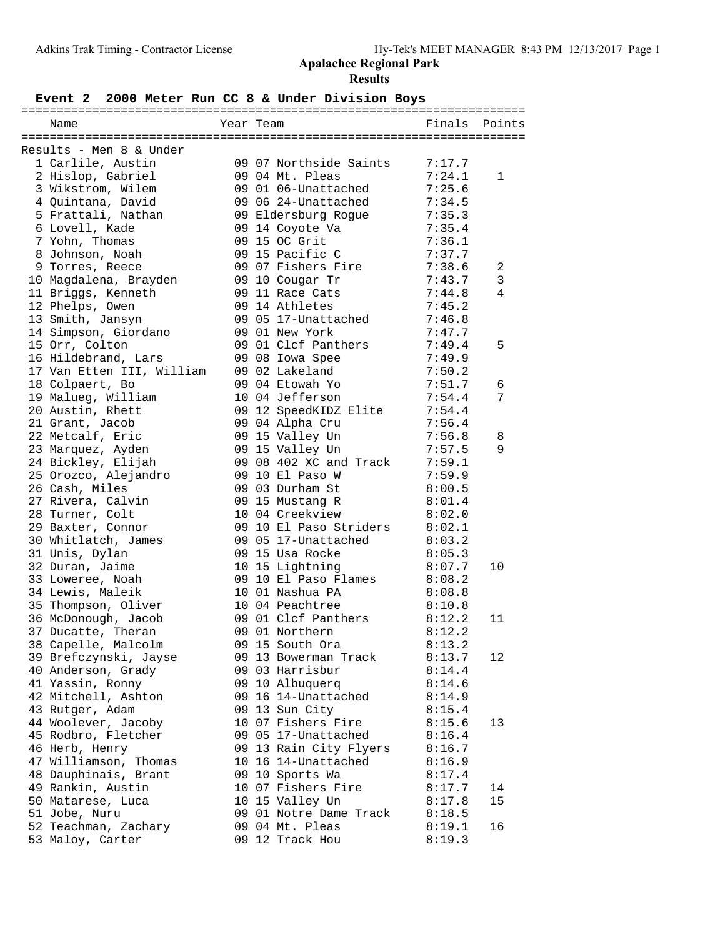# **Event 2 2000 Meter Run CC 8 & Under Division Boys**

| Name                                      | Year Team |                                           | Finals | Points         |
|-------------------------------------------|-----------|-------------------------------------------|--------|----------------|
|                                           |           |                                           |        |                |
| Results - Men 8 & Under                   |           |                                           |        |                |
| 1 Carlile, Austin                         |           | 09 07 Northside Saints                    | 7:17.7 |                |
| 2 Hislop, Gabriel                         |           | 09 04 Mt. Pleas                           | 7:24.1 | $\mathbf{1}$   |
| 3 Wikstrom, Wilem                         |           | 09 01 06-Unattached                       | 7:25.6 |                |
| 4 Quintana, David                         |           | 09 06 24-Unattached                       | 7:34.5 |                |
| 5 Frattali, Nathan                        |           | 09 Eldersburg Rogue                       | 7:35.3 |                |
| 6 Lovell, Kade                            |           | 09 14 Coyote Va                           | 7:35.4 |                |
| 7 Yohn, Thomas                            |           | 09 15 OC Grit                             | 7:36.1 |                |
| 8 Johnson, Noah                           |           | 09 15 Pacific C                           | 7:37.7 |                |
| 9 Torres, Reece                           |           | 09 07 Fishers Fire                        | 7:38.6 | 2              |
| 10 Magdalena, Brayden                     |           | 09 10 Cougar Tr                           | 7:43.7 | 3              |
| 11 Briggs, Kenneth                        |           | 09 11 Race Cats                           | 7:44.8 | $\overline{4}$ |
| 12 Phelps, Owen                           |           | 09 14 Athletes                            | 7:45.2 |                |
| 13 Smith, Jansyn                          |           | 09 05 17-Unattached                       | 7:46.8 |                |
| 14 Simpson, Giordano                      |           | 09 01 New York                            | 7:47.7 |                |
| 15 Orr, Colton                            |           | 09 01 Clcf Panthers                       | 7:49.4 | 5              |
| 16 Hildebrand, Lars                       |           | 09 08 Iowa Spee                           | 7:49.9 |                |
| 17 Van Etten III, William                 |           | 09 02 Lakeland                            | 7:50.2 |                |
| 18 Colpaert, Bo                           |           | 09 04 Etowah Yo                           | 7:51.7 | 6              |
| 19 Malueg, William                        |           | 10 04 Jefferson                           | 7:54.4 | 7              |
| 20 Austin, Rhett                          |           | 09 12 SpeedKIDZ Elite                     | 7:54.4 |                |
| 21 Grant, Jacob                           |           | 09 04 Alpha Cru                           | 7:56.4 |                |
| 22 Metcalf, Eric                          |           | 09 15 Valley Un                           | 7:56.8 | 8              |
| 23 Marquez, Ayden                         |           | 09 15 Valley Un                           | 7:57.5 | 9              |
| 24 Bickley, Elijah                        |           | 09 08 402 XC and Track                    | 7:59.1 |                |
| 25 Orozco, Alejandro                      |           | 09 10 El Paso W                           | 7:59.9 |                |
| 26 Cash, Miles                            |           | 09 03 Durham St                           | 8:00.5 |                |
| 27 Rivera, Calvin                         |           | 09 15 Mustang R                           | 8:01.4 |                |
| 28 Turner, Colt                           |           | 10 04 Creekview                           | 8:02.0 |                |
| 29 Baxter, Connor                         |           | 09 10 El Paso Striders                    | 8:02.1 |                |
| 30 Whitlatch, James                       |           | 09 05 17-Unattached                       | 8:03.2 |                |
| 31 Unis, Dylan                            |           | 09 15 Usa Rocke                           | 8:05.3 |                |
| 32 Duran, Jaime                           |           | 10 15 Lightning                           | 8:07.7 | 10             |
| 33 Loweree, Noah                          |           | 09 10 El Paso Flames                      | 8:08.2 |                |
| 34 Lewis, Maleik                          |           | 10 01 Nashua PA                           | 8:08.8 |                |
| 35 Thompson, Oliver                       |           | 10 04 Peachtree                           | 8:10.8 |                |
| 36 McDonough, Jacob                       |           | 09 01 Clcf Panthers                       | 8:12.2 | 11             |
| 37 Ducatte, Theran                        |           | 09 01 Northern                            | 8:12.2 |                |
| 38 Capelle, Malcolm                       |           | 09 15 South Ora                           | 8:13.2 |                |
| 39 Brefczynski, Jayse                     |           | 09 13 Bowerman Track                      | 8:13.7 | 12             |
| 40 Anderson, Grady                        |           | 09 03 Harrisbur                           | 8:14.4 |                |
| 41 Yassin, Ronny                          |           | 09 10 Albuquerq                           | 8:14.6 |                |
| 42 Mitchell, Ashton                       |           | 09 16 14-Unattached                       | 8:14.9 |                |
| 43 Rutger, Adam                           |           | 09 13 Sun City                            | 8:15.4 |                |
| 44 Woolever, Jacoby                       |           | 10 07 Fishers Fire                        | 8:15.6 | 13             |
| 45 Rodbro, Fletcher<br>46 Herb, Henry     |           | 09 05 17-Unattached                       | 8:16.4 |                |
|                                           |           | 09 13 Rain City Flyers                    | 8:16.7 |                |
| 47 Williamson, Thomas                     |           | 10 16 14-Unattached                       | 8:16.9 |                |
| 48 Dauphinais, Brant<br>49 Rankin, Austin |           | 09 10 Sports Wa                           | 8:17.4 | 14             |
|                                           |           | 10 07 Fishers Fire                        | 8:17.7 |                |
| 50 Matarese, Luca                         |           | 10 15 Valley Un                           | 8:17.8 | 15             |
| 51 Jobe, Nuru                             |           | 09 01 Notre Dame Track<br>09 04 Mt. Pleas | 8:18.5 | 16             |
| 52 Teachman, Zachary                      |           |                                           | 8:19.1 |                |
| 53 Maloy, Carter                          |           | 09 12 Track Hou                           | 8:19.3 |                |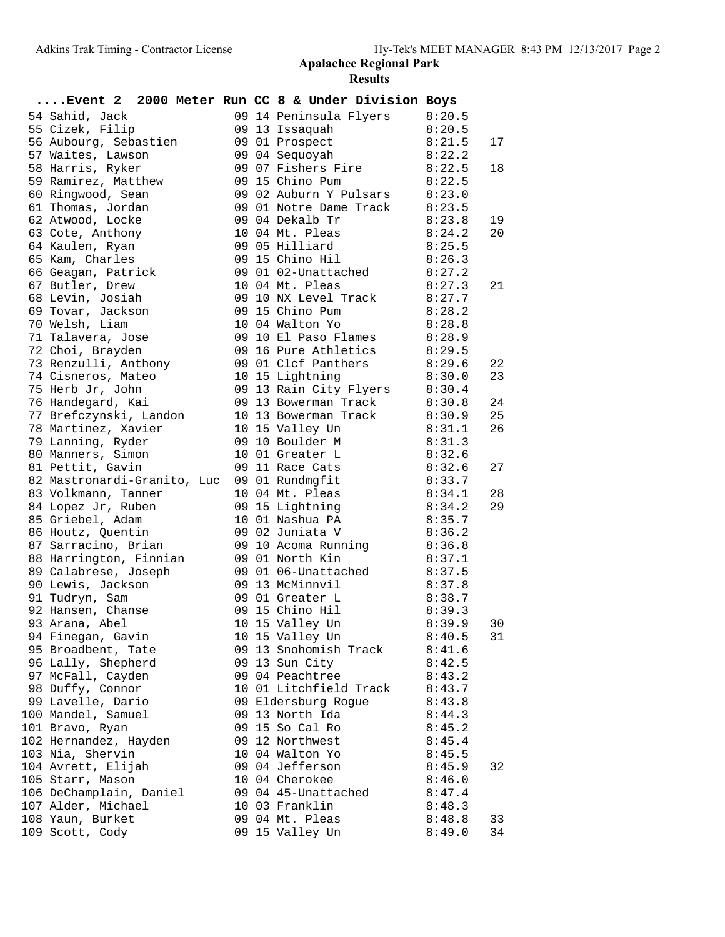|                                             |  |  | Event 2 2000 Meter Run CC 8 & Under Division Boys         |        |    |
|---------------------------------------------|--|--|-----------------------------------------------------------|--------|----|
| 54 Sahid, Jack                              |  |  | 09 14 Peninsula Flyers                                    | 8:20.5 |    |
| 55 Cizek, Filip                             |  |  | 09 13 Issaquah                                            | 8:20.5 |    |
| 56 Aubourg, Sebastien                       |  |  | 09 01 Prospect                                            | 8:21.5 | 17 |
| 57 Waites, Lawson                           |  |  | 09 04 Sequoyah                                            | 8:22.2 |    |
| 58 Harris, Ryker                            |  |  | 09 07 Fishers Fire                                        | 8:22.5 | 18 |
| 59 Ramirez, Matthew                         |  |  | 09 15 Chino Pum                                           | 8:22.5 |    |
| 60 Ringwood, Sean                           |  |  | 8:23.0<br>09 01 Notre Dame Track 8:23.5<br>09 04 Dekalb T |        |    |
| 61 Thomas, Jordan                           |  |  |                                                           |        |    |
| 62 Atwood, Locke                            |  |  | 09 04 Dekalb Tr                                           | 8:23.8 | 19 |
| 63 Cote, Anthony                            |  |  | 10 04 Mt. Pleas                                           | 8:24.2 | 20 |
| 64 Kaulen, Ryan                             |  |  | 09 05 Hilliard                                            | 8:25.5 |    |
| 65 Kam, Charles                             |  |  | 09 15 Chino Hil                                           | 8:26.3 |    |
| 66 Geagan, Patrick                          |  |  | 09 01 02-Unattached                                       | 8:27.2 |    |
| 67 Butler, Drew                             |  |  | 10 04 Mt. Pleas                                           | 8:27.3 | 21 |
| 68 Levin, Josiah                            |  |  | 09 10 NX Level Track 8:27.7                               |        |    |
| 69 Tovar, Jackson                           |  |  | 09 15 Chino Pum                                           | 8:28.2 |    |
| 70 Welsh, Liam                              |  |  | 10 04 Walton Yo                                           | 8:28.8 |    |
| 71 Talavera, Jose                           |  |  | 09 10 El Paso Flames                                      | 8:28.9 |    |
| 72 Choi, Brayden                            |  |  | 09 16 Pure Athletics                                      | 8:29.5 |    |
| 73 Renzulli, Anthony                        |  |  | 09 01 Clcf Panthers                                       | 8:29.6 | 22 |
| 74 Cisneros, Mateo                          |  |  | 10 15 Lightning                                           | 8:30.0 | 23 |
| 75 Herb Jr, John                            |  |  | 09 13 Rain City Flyers                                    | 8:30.4 |    |
| 76 Handegard, Kai                           |  |  | 09 13 Bowerman Track                                      | 8:30.8 | 24 |
| 77 Brefczynski, Landon                      |  |  | 10 13 Bowerman Track                                      | 8:30.9 | 25 |
| 78 Martinez, Xavier                         |  |  | 10 15 Valley Un                                           | 8:31.1 | 26 |
| 79 Lanning, Ryder                           |  |  | 09 10 Boulder M                                           | 8:31.3 |    |
| 80 Manners, Simon                           |  |  | 10 01 Greater L                                           | 8:32.6 |    |
| 81 Pettit, Gavin                            |  |  | 09 11 Race Cats                                           | 8:32.6 | 27 |
| 82 Mastronardi-Granito, Luc 09 01 Rundmgfit |  |  |                                                           | 8:33.7 |    |
| 83 Volkmann, Tanner                         |  |  | 10 04 Mt. Pleas                                           | 8:34.1 | 28 |
| 84 Lopez Jr, Ruben                          |  |  | 09 15 Lightning                                           | 8:34.2 | 29 |
| 85 Griebel, Adam                            |  |  | 10 01 Nashua PA                                           | 8:35.7 |    |
| 86 Houtz, Quentin                           |  |  | 09 02 Juniata V                                           | 8:36.2 |    |
| 87 Sarracino, Brian                         |  |  | 09 10 Acoma Running 8:36.8                                |        |    |
| 88 Harrington, Finnian                      |  |  | 09 01 North Kin                                           | 8:37.1 |    |
| 89 Calabrese, Joseph                        |  |  | 09 01 06-Unattached                                       | 8:37.5 |    |
| 90 Lewis, Jackson                           |  |  | 09 13 McMinnvil                                           | 8:37.8 |    |
| 91 Tudryn, Sam                              |  |  | 09 01 Greater L                                           | 8:38.7 |    |
| 92 Hansen, Chanse                           |  |  | 09 15 Chino Hil                                           | 8:39.3 |    |
| 93 Arana, Abel                              |  |  | 10 15 Valley Un                                           | 8:39.9 | 30 |
| 94 Finegan, Gavin                           |  |  | 10 15 Valley Un                                           | 8:40.5 | 31 |
| 95 Broadbent, Tate                          |  |  | 09 13 Snohomish Track                                     | 8:41.6 |    |
| 96 Lally, Shepherd                          |  |  | 09 13 Sun City                                            | 8:42.5 |    |
| 97 McFall, Cayden                           |  |  | 09 04 Peachtree                                           | 8:43.2 |    |
| 98 Duffy, Connor                            |  |  | 10 01 Litchfield Track                                    | 8:43.7 |    |
| 99 Lavelle, Dario                           |  |  | 09 Eldersburg Rogue                                       | 8:43.8 |    |
| 100 Mandel, Samuel                          |  |  | 09 13 North Ida                                           | 8:44.3 |    |
| 101 Bravo, Ryan                             |  |  | 09 15 So Cal Ro                                           | 8:45.2 |    |
| 102 Hernandez, Hayden                       |  |  | 09 12 Northwest                                           | 8:45.4 |    |
| 103 Nia, Shervin                            |  |  | 10 04 Walton Yo                                           | 8:45.5 |    |
| 104 Avrett, Elijah                          |  |  | 09 04 Jefferson                                           | 8:45.9 | 32 |
| 105 Starr, Mason                            |  |  | 10 04 Cherokee                                            | 8:46.0 |    |
| 106 DeChamplain, Daniel                     |  |  | 09 04 45-Unattached                                       | 8:47.4 |    |
| 107 Alder, Michael                          |  |  | 10 03 Franklin                                            | 8:48.3 |    |
| 108 Yaun, Burket                            |  |  | 09 04 Mt. Pleas                                           | 8:48.8 | 33 |
| 109 Scott, Cody                             |  |  | 09 15 Valley Un                                           | 8:49.0 | 34 |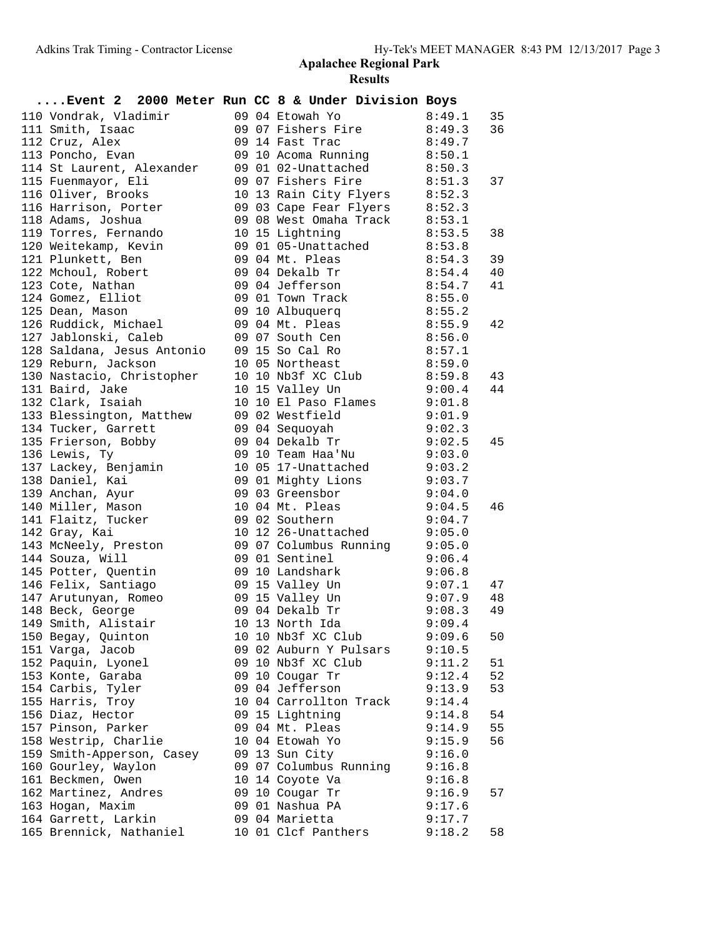|                                                                           |  |  | Event 2 2000 Meter Run CC 8 & Under Division Boys                                     |                  |    |
|---------------------------------------------------------------------------|--|--|---------------------------------------------------------------------------------------|------------------|----|
| 110 Vondrak, Vladimir                                                     |  |  | 09 04 Etowah Yo 8:49.1<br>09 07 Fishers Fire 8:49.3<br>09 14 Fast Trace               |                  | 35 |
| 111 Smith, Isaac                                                          |  |  |                                                                                       |                  | 36 |
| 112 Cruz, Alex                                                            |  |  | 09 14 Fast Trac                                                                       | 8:49.7           |    |
| 113 Poncho, Evan                                                          |  |  | 09 10 Acoma Running 8:50.1                                                            |                  |    |
| 114 St Laurent, Alexander                                                 |  |  | 09 01 02-Unattached 8:50.3                                                            |                  |    |
| 115 Fuenmayor, Eli                                                        |  |  | 09 07 Fishers Fire 8:51.3                                                             |                  | 37 |
| 116 Oliver, Brooks                                                        |  |  |                                                                                       |                  |    |
| 116 Harrison, Porter                                                      |  |  | 10 13 Rain City Flyers 8:52.3<br>09 03 Cape Fear Flyers 8:52.3                        |                  |    |
| 118 Adams, Joshua                                                         |  |  | 09 08 West Omaha Track 8:53.1                                                         |                  |    |
| 119 Torres, Fernando                                                      |  |  | 10 15 Lightning                                                                       | 8:53.5           | 38 |
|                                                                           |  |  |                                                                                       |                  |    |
| 121 Plunkett, Ben                                                         |  |  | 09 04 Mt. Pleas<br>8:54.3                                                             |                  | 39 |
| 121 111<br>122 Mchoul, Robert                                             |  |  | 09 04 Dekalb Tr                                                                       | 8:54.4           | 40 |
| 123 Cote, Nathan                                                          |  |  | 09 04 Jefferson                                                                       | 8:54.7           | 41 |
| 124 Gomez, Elliot                                                         |  |  | 09 01 Town Track 8:55.0                                                               |                  |    |
| 125 Dean, Mason                                                           |  |  | 09 10 Albuquerq 8:55.2                                                                |                  |    |
|                                                                           |  |  | 126 Ruddick, Michael (19904 Mt. Pleas 19:55.9                                         |                  | 42 |
| 127 Jablonski, Caleb                                                      |  |  | 09 07 South Cen 8:56.0                                                                |                  |    |
|                                                                           |  |  |                                                                                       |                  |    |
|                                                                           |  |  |                                                                                       |                  |    |
|                                                                           |  |  |                                                                                       |                  | 43 |
| 131 Baird, Jake                                                           |  |  | 9:00.4<br>10 15 Valley Un                                                             |                  | 44 |
| 132 Clark, Isaiah                                                         |  |  | 10 10 El Paso Flames 9:01.8                                                           |                  |    |
| 133 Blessington, Matthew                                                  |  |  | 09 02 Westfield                                                                       | 9:01.9           |    |
| 134 Tucker, Garrett                                                       |  |  |                                                                                       | 9:02.3           |    |
|                                                                           |  |  | 09 04 Sequoyah                         9:02.3<br>09 04 Dekalb Tr               9:02.5 |                  | 45 |
| 135 Frierson, Bobby<br>106 - Theory<br>136 Lewis, Ty                      |  |  | 09 10 Team Haa'Nu 9:03.0                                                              |                  |    |
| 137 Lackey, Benjamin                                                      |  |  | 10 05 17-Unattached 9:03.2                                                            |                  |    |
| 138 Daniel, Kai                                                           |  |  | 09 01 Mighty Lions 9:03.7                                                             |                  |    |
| 139 Anchan, Ayur                                                          |  |  | 09 03 Greensbor                                                                       | 9:04.0           |    |
|                                                                           |  |  |                                                                                       | 9:04.5           | 46 |
| 140 Miller, Mason<br>141 Flaitz, Tucker                                   |  |  | 10 04 Mt. Pleas 9:04.5<br>09 02 Southern 9:04.7                                       |                  |    |
| 142 Gray, Kai                                                             |  |  | 10 12 26-Unattached 9:05.0                                                            |                  |    |
| 143 McNeely, Preston                                                      |  |  | 09 07 Columbus Running 9:05.0                                                         |                  |    |
| 144 Souza, Will                                                           |  |  | 09 01 Sentinel                                                                        | 9:06.4           |    |
| 145 Potter, Quentin                                                       |  |  |                                                                                       | 9:06.8           |    |
|                                                                           |  |  | 09 10 Landshark                                                                       |                  | 47 |
|                                                                           |  |  |                                                                                       | 9:07.1<br>9:07.9 | 48 |
| 145 Potter, <sub>X</sub> .<br>146 Felix, Santiago<br>147 Arutunyan, Romeo |  |  |                                                                                       |                  | 49 |
| 149 Smith, Alistair                                                       |  |  | 10 13 North Ida                                                                       | 9:09.4           |    |
| 150 Begay, Quinton                                                        |  |  | 10 10 Nb3f XC Club                                                                    | 9:09.6           | 50 |
| 151 Varga, Jacob                                                          |  |  | 09 02 Auburn Y Pulsars                                                                | 9:10.5           |    |
| 152 Paquin, Lyonel                                                        |  |  | 09 10 Nb3f XC Club                                                                    | 9:11.2           | 51 |
| 153 Konte, Garaba                                                         |  |  | 09 10 Cougar Tr                                                                       | 9:12.4           | 52 |
| 154 Carbis, Tyler                                                         |  |  | 09 04 Jefferson                                                                       | 9:13.9           | 53 |
| 155 Harris, Troy                                                          |  |  | 10 04 Carrollton Track                                                                | 9:14.4           |    |
| 156 Diaz, Hector                                                          |  |  | 09 15 Lightning                                                                       | 9:14.8           | 54 |
| 157 Pinson, Parker                                                        |  |  | 09 04 Mt. Pleas                                                                       | 9:14.9           | 55 |
| 158 Westrip, Charlie                                                      |  |  | 10 04 Etowah Yo                                                                       | 9:15.9           | 56 |
| 159 Smith-Apperson, Casey                                                 |  |  | 09 13 Sun City                                                                        | 9:16.0           |    |
| 160 Gourley, Waylon                                                       |  |  | 09 07 Columbus Running                                                                |                  |    |
| 161 Beckmen, Owen                                                         |  |  | 10 14 Coyote Va                                                                       | 9:16.8<br>9:16.8 |    |
| 162 Martinez, Andres                                                      |  |  | 09 10 Cougar Tr                                                                       | 9:16.9           | 57 |
| 163 Hogan, Maxim                                                          |  |  | 09 01 Nashua PA                                                                       | 9:17.6           |    |
| 164 Garrett, Larkin                                                       |  |  | 09 04 Marietta                                                                        | 9:17.7           |    |
| 165 Brennick, Nathaniel                                                   |  |  | 10 01 Clcf Panthers                                                                   | 9:18.2           | 58 |
|                                                                           |  |  |                                                                                       |                  |    |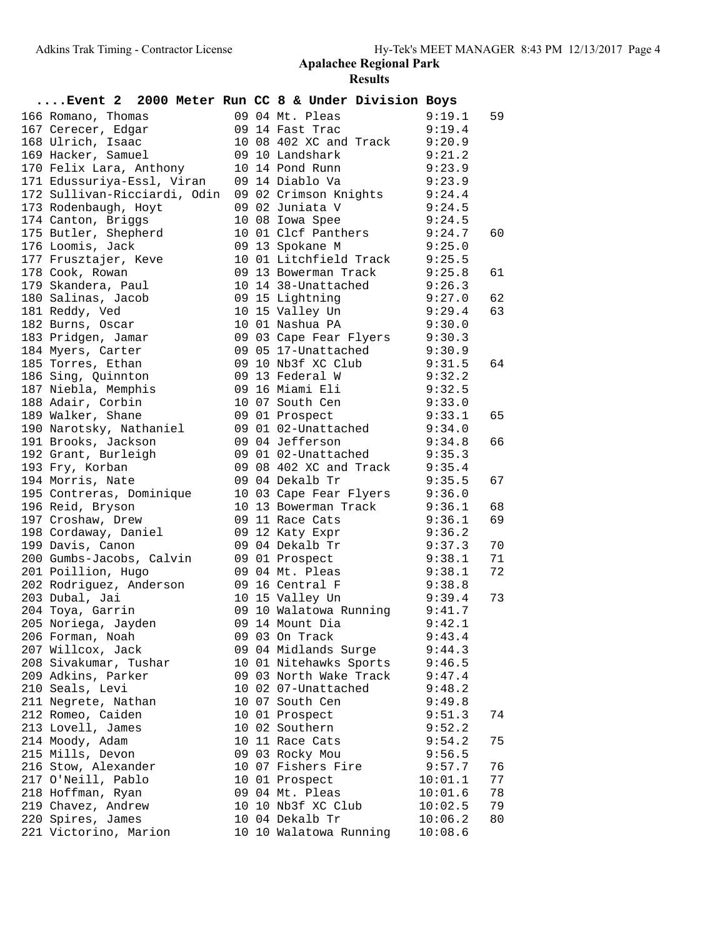| Event 2 2000 Meter Run CC 8 & Under Division Boys                                                                                                                                                          |  |                                                                                                                      |         |    |
|------------------------------------------------------------------------------------------------------------------------------------------------------------------------------------------------------------|--|----------------------------------------------------------------------------------------------------------------------|---------|----|
| 166 Romano, Thomas<br>167 Cerecer, Edgar<br>168 Ulrich, Isaac                                                                                                                                              |  | 09 04 Mt. Pleas 9:19.1<br>09 14 Fast Trac 9:19.4                                                                     | 9:19.1  | 59 |
|                                                                                                                                                                                                            |  |                                                                                                                      |         |    |
|                                                                                                                                                                                                            |  | 10 08 402 XC and Track 9:20.9                                                                                        |         |    |
| 169 Hacker, Samuel 69 10 Landshark                                                                                                                                                                         |  | 9:21.2                                                                                                               |         |    |
| 170 Felix Lara, Anthony                                                                                                                                                                                    |  | 10 14 Pond Runn 9:23.9                                                                                               |         |    |
| 171 Edussuriya-Essl, Viran 09 14 Diablo Va 9:23.9<br>172 Sullivan-Ricciardi, Odin 09 02 Crimson Knights 9:24.4<br>173 Rodenbaugh, Hoyt 09 02 Juniata V 9:24.5<br>174 Canton, Briggs 10 08 Iowa Spee 9:24.5 |  |                                                                                                                      |         |    |
|                                                                                                                                                                                                            |  |                                                                                                                      |         |    |
|                                                                                                                                                                                                            |  |                                                                                                                      |         |    |
|                                                                                                                                                                                                            |  |                                                                                                                      |         |    |
| 175 Butler, Shepherd                                                                                                                                                                                       |  | 10 01 Clcf Panthers 9:24.7                                                                                           |         | 60 |
| 176 Loomis, Jack                                                                                                                                                                                           |  | 09 13 Spokane M<br>9:25.0                                                                                            |         |    |
| 177 Frusztajer, Keve                                                                                                                                                                                       |  |                                                                                                                      |         |    |
|                                                                                                                                                                                                            |  | 10 01 Litchfield Track 9:25.5<br>09 13 Bowerman Track 9:25.8<br>10 14 38-Unattached 9:26.3<br>09 15 Lightning 9:27.0 |         | 61 |
|                                                                                                                                                                                                            |  |                                                                                                                      |         |    |
| - .<br>180  Salinas, Jacob                                                                                                                                                                                 |  |                                                                                                                      |         | 62 |
| 181 Reddy, Ved                                                                                                                                                                                             |  | 10 15 Valley Un 9:29.4                                                                                               |         | 63 |
| 182 Burns, Oscar                                                                                                                                                                                           |  | 10 01 Nashua PA 9:30.0                                                                                               |         |    |
| 183 Pridgen, Jamar                                                                                                                                                                                         |  | 09 03 Cape Fear Flyers 9:30.3                                                                                        |         |    |
|                                                                                                                                                                                                            |  | 09 05 17-Unattached 9:30.9<br>09 10 Nb3f XC Club 9:31.5<br>09 13 Federal W 9:32.2                                    |         |    |
| 184 Myers, Carter<br>185 Torres, Ethan<br>186 Sing, Quinnton                                                                                                                                               |  |                                                                                                                      |         | 64 |
|                                                                                                                                                                                                            |  |                                                                                                                      |         |    |
| 187 Niebla, Memphis                                                                                                                                                                                        |  | 09 16 Miami Eli 9:32.5                                                                                               |         |    |
| 188 Adair, Corbin                                                                                                                                                                                          |  |                                                                                                                      |         |    |
| 189 Walker, Shane                                                                                                                                                                                          |  | 10 07 South Cen 9:33.0<br>09 01 Prospect 9:33.1                                                                      |         | 65 |
|                                                                                                                                                                                                            |  |                                                                                                                      |         |    |
| 190 Narotsky, Nathaniel        09 01 02-Unattached           9:34.0<br>191 Brooks, Jackson             09 04 Jefferson                  9:34.8                                                             |  |                                                                                                                      |         | 66 |
| 192 Grant, Burleigh                                                                                                                                                                                        |  | 09 01 02-Unattached 9:35.3                                                                                           |         |    |
| 193 Fry, Korban                                                                                                                                                                                            |  | 09 08 402 XC and Track 9:35.4                                                                                        |         |    |
| 194 Morris, Nate                                                                                                                                                                                           |  | 09 04 Dekalb Tr<br>9:35.5                                                                                            |         | 67 |
| 195 Contreras, Dominique                                                                                                                                                                                   |  |                                                                                                                      |         |    |
| 196 Reid, Bryson                                                                                                                                                                                           |  | 10 03 Cape Fear Flyers 9:36.0                                                                                        |         | 68 |
| 197 Croshaw, Drew                                                                                                                                                                                          |  | 10 13 Bowerman Track 9:36.1<br>09 11 Race Cats 9:36.1                                                                |         | 69 |
| 198 Cordaway, Daniel                                                                                                                                                                                       |  | 09 11 Race Cats 9:36.1<br>09 12 Katy Expr 9:36.2                                                                     |         |    |
| 199 Davis, Canon                                                                                                                                                                                           |  | 09 04 Dekalb Tr 9:37.3                                                                                               |         | 70 |
| 200 Gumbs-Jacobs, Calvin                                                                                                                                                                                   |  |                                                                                                                      |         | 71 |
| 201 Poillion, Hugo                                                                                                                                                                                         |  |                                                                                                                      |         | 72 |
| 202 Rodriguez, Anderson                                                                                                                                                                                    |  | 09 01 Prospect<br>09 04 Mt. Pleas<br>09 16 Central F 9:38.1<br>10 15 Valley Un 9:39.4                                |         |    |
| 203 Dubal, Jai                                                                                                                                                                                             |  |                                                                                                                      |         | 73 |
|                                                                                                                                                                                                            |  |                                                                                                                      |         |    |
|                                                                                                                                                                                                            |  |                                                                                                                      | 9:42.1  |    |
| 206 Forman, Noah                                                                                                                                                                                           |  | 09 03 On Track                                                                                                       | 9:43.4  |    |
| 207 Willcox, Jack                                                                                                                                                                                          |  | 09 04 Midlands Surge                                                                                                 | 9:44.3  |    |
| 208 Sivakumar, Tushar                                                                                                                                                                                      |  | 10 01 Nitehawks Sports                                                                                               | 9:46.5  |    |
| 209 Adkins, Parker                                                                                                                                                                                         |  | 09 03 North Wake Track                                                                                               | 9:47.4  |    |
| 210 Seals, Levi                                                                                                                                                                                            |  | 10 02 07-Unattached                                                                                                  | 9:48.2  |    |
| 211 Negrete, Nathan                                                                                                                                                                                        |  | 10 07 South Cen                                                                                                      | 9:49.8  |    |
| 212 Romeo, Caiden                                                                                                                                                                                          |  | 10 01 Prospect                                                                                                       | 9:51.3  | 74 |
| 213 Lovell, James                                                                                                                                                                                          |  | 10 02 Southern                                                                                                       | 9:52.2  |    |
| 214 Moody, Adam                                                                                                                                                                                            |  | 10 11 Race Cats                                                                                                      | 9:54.2  | 75 |
| 215 Mills, Devon                                                                                                                                                                                           |  | 09 03 Rocky Mou                                                                                                      | 9:56.5  |    |
| 216 Stow, Alexander                                                                                                                                                                                        |  | 10 07 Fishers Fire                                                                                                   | 9:57.7  | 76 |
| 217 O'Neill, Pablo                                                                                                                                                                                         |  | 10 01 Prospect                                                                                                       | 10:01.1 | 77 |
| 218 Hoffman, Ryan                                                                                                                                                                                          |  | 09 04 Mt. Pleas                                                                                                      | 10:01.6 | 78 |
| 219 Chavez, Andrew                                                                                                                                                                                         |  | 10 10 Nb3f XC Club                                                                                                   | 10:02.5 | 79 |
| 220 Spires, James                                                                                                                                                                                          |  | 10 04 Dekalb Tr                                                                                                      | 10:06.2 | 80 |
| 221 Victorino, Marion                                                                                                                                                                                      |  | 10 10 Walatowa Running                                                                                               | 10:08.6 |    |
|                                                                                                                                                                                                            |  |                                                                                                                      |         |    |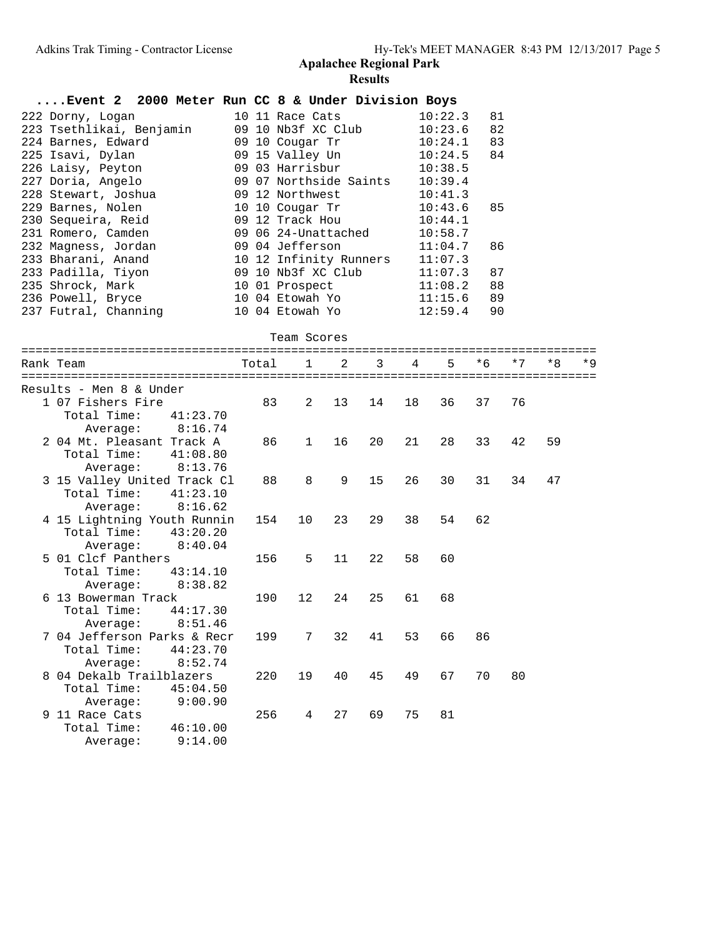Total Time: 46:10.00 Average: 9:14.00

|           | Event 2 2000 Meter Run CC 8 & Under Division Boys |          |          |       |                        |    |    |    |         |     |      |    |      |
|-----------|---------------------------------------------------|----------|----------|-------|------------------------|----|----|----|---------|-----|------|----|------|
|           | 222 Dorny, Logan                                  |          |          |       | 10 11 Race Cats        |    |    |    | 10:22.3 | 81  |      |    |      |
|           | 223 Tsethlikai, Benjamin                          |          |          |       | 09 10 Nb3f XC Club     |    |    |    | 10:23.6 | 82  |      |    |      |
|           | 224 Barnes, Edward                                |          |          |       | 09 10 Cougar Tr        |    |    |    | 10:24.1 | 83  |      |    |      |
|           | 225 Isavi, Dylan                                  |          |          |       | 09 15 Valley Un        |    |    |    | 10:24.5 | 84  |      |    |      |
|           | 226 Laisy, Peyton                                 |          |          |       | 09 03 Harrisbur        |    |    |    | 10:38.5 |     |      |    |      |
|           | 227 Doria, Angelo                                 |          |          |       | 09 07 Northside Saints |    |    |    | 10:39.4 |     |      |    |      |
|           | 228 Stewart, Joshua                               |          |          |       | 09 12 Northwest        |    |    |    | 10:41.3 |     |      |    |      |
|           | 229 Barnes, Nolen                                 |          |          |       | 10 10 Cougar Tr        |    |    |    | 10:43.6 | 85  |      |    |      |
|           | 230 Sequeira, Reid                                |          |          |       | 09 12 Track Hou        |    |    |    | 10:44.1 |     |      |    |      |
|           | 231 Romero, Camden                                |          |          |       | 09 06 24-Unattached    |    |    |    | 10:58.7 |     |      |    |      |
|           | 232 Magness, Jordan                               |          |          |       | 09 04 Jefferson        |    |    |    | 11:04.7 | 86  |      |    |      |
|           | 233 Bharani, Anand                                |          |          |       | 10 12 Infinity Runners |    |    |    | 11:07.3 |     |      |    |      |
|           | 233 Padilla, Tiyon                                |          |          |       | 09 10 Nb3f XC Club     |    |    |    | 11:07.3 | 87  |      |    |      |
|           | 235 Shrock, Mark                                  |          |          |       | 10 01 Prospect         |    |    |    | 11:08.2 | 88  |      |    |      |
|           |                                                   |          |          |       | 10 04 Etowah Yo        |    |    |    |         | 89  |      |    |      |
|           | 236 Powell, Bryce                                 |          |          |       |                        |    |    |    | 11:15.6 |     |      |    |      |
|           | 237 Futral, Channing                              |          |          |       | 10 04 Etowah Yo        |    |    |    | 12:59.4 | 90  |      |    |      |
|           |                                                   |          |          |       | Team Scores            |    |    |    |         |     |      |    |      |
|           |                                                   |          |          |       |                        |    |    |    |         |     | $*7$ |    | $*9$ |
| Rank Team |                                                   |          |          | Total | 1                      | 2  | 3  | 4  | 5       | * 6 |      | *8 |      |
|           |                                                   |          |          |       |                        |    |    |    |         |     |      |    |      |
|           | Results - Men 8 & Under                           |          |          |       |                        |    |    |    |         |     |      |    |      |
|           | 1 07 Fishers Fire                                 |          |          | 83    | 2                      | 13 | 14 | 18 | 36      | 37  | 76   |    |      |
|           | Total Time:                                       |          | 41:23.70 |       |                        |    |    |    |         |     |      |    |      |
|           | Average:                                          |          | 8:16.74  |       |                        |    |    |    |         |     |      |    |      |
|           | 2 04 Mt. Pleasant Track A                         |          |          | 86    | $\mathbf{1}$           | 16 | 20 | 21 | 28      | 33  | 42   | 59 |      |
|           | Total Time:                                       |          | 41:08.80 |       |                        |    |    |    |         |     |      |    |      |
|           |                                                   | Average: | 8:13.76  |       |                        |    |    |    |         |     |      |    |      |
|           | 3 15 Valley United Track Cl                       |          |          | 88    | 8                      | 9  | 15 | 26 | 30      | 31  | 34   | 47 |      |
|           | Total Time:                                       |          | 41:23.10 |       |                        |    |    |    |         |     |      |    |      |
|           | Average:                                          |          | 8:16.62  |       |                        |    |    |    |         |     |      |    |      |
|           | 4 15 Lightning Youth Runnin                       |          |          | 154   | 10                     | 23 | 29 | 38 | 54      | 62  |      |    |      |
|           | Total Time:                                       |          | 43:20.20 |       |                        |    |    |    |         |     |      |    |      |
|           | Average:                                          |          | 8:40.04  |       |                        |    |    |    |         |     |      |    |      |
|           | 5 01 Clcf Panthers                                |          |          | 156   | 5                      | 11 | 22 | 58 | 60      |     |      |    |      |
|           | Total Time:                                       |          | 43:14.10 |       |                        |    |    |    |         |     |      |    |      |
|           | Average:                                          |          | 8:38.82  |       |                        |    |    |    |         |     |      |    |      |
|           | 6 13 Bowerman Track                               |          |          | 190   | 12                     | 24 | 25 | 61 | 68      |     |      |    |      |
|           | Total Time:                                       |          | 44:17.30 |       |                        |    |    |    |         |     |      |    |      |
|           | Average:                                          |          | 8:51.46  |       |                        |    |    |    |         |     |      |    |      |
|           | 7 04 Jefferson Parks & Recr                       |          |          | 199   | 7                      | 32 | 41 | 53 | 66      | 86  |      |    |      |
|           | Total Time:                                       |          | 44:23.70 |       |                        |    |    |    |         |     |      |    |      |
|           | Average:                                          |          | 8:52.74  |       |                        |    |    |    |         |     |      |    |      |
|           | 8 04 Dekalb Trailblazers                          |          |          | 220   | 19                     | 40 | 45 | 49 | 67      | 70  | 80   |    |      |
|           | Total Time:                                       |          | 45:04.50 |       |                        |    |    |    |         |     |      |    |      |
|           | Average:                                          |          | 9:00.90  |       |                        |    |    |    |         |     |      |    |      |
|           | 9 11 Race Cats                                    |          |          | 256   | $\overline{4}$         | 27 | 69 | 75 | 81      |     |      |    |      |
|           |                                                   |          |          |       |                        |    |    |    |         |     |      |    |      |